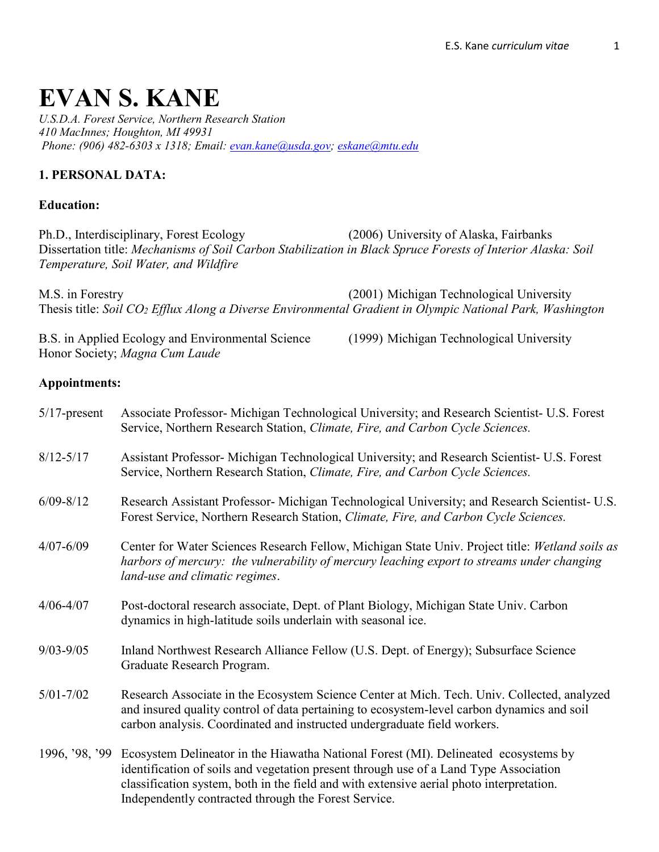# **EVAN S. KANE**

*U.S.D.A. Forest Service, Northern Research Station 410 MacInnes; Houghton, MI 49931 Phone: (906) 482-6303 x 1318; Email: [evan.kane@usda.gov;](mailto:evan.kane@usda.gov) [eskane@mtu.edu](mailto:eskane@mtu.edu)* 

## **1. PERSONAL DATA:**

#### **Education:**

Ph.D., Interdisciplinary, Forest Ecology (2006) University of Alaska, Fairbanks Dissertation title: *Mechanisms of Soil Carbon Stabilization in Black Spruce Forests of Interior Alaska: Soil Temperature, Soil Water, and Wildfire*

M.S. in Forestry (2001) Michigan Technological University Thesis title: *Soil CO2 Efflux Along a Diverse Environmental Gradient in Olympic National Park, Washington*

B.S. in Applied Ecology and Environmental Science (1999) Michigan Technological University Honor Society; *Magna Cum Laude*

#### **Appointments:**

| $5/17$ -present | Associate Professor- Michigan Technological University; and Research Scientist- U.S. Forest<br>Service, Northern Research Station, Climate, Fire, and Carbon Cycle Sciences.                                                                                                                                                     |
|-----------------|----------------------------------------------------------------------------------------------------------------------------------------------------------------------------------------------------------------------------------------------------------------------------------------------------------------------------------|
| $8/12 - 5/17$   | Assistant Professor- Michigan Technological University; and Research Scientist- U.S. Forest<br>Service, Northern Research Station, Climate, Fire, and Carbon Cycle Sciences.                                                                                                                                                     |
| $6/09 - 8/12$   | Research Assistant Professor-Michigan Technological University; and Research Scientist- U.S.<br>Forest Service, Northern Research Station, Climate, Fire, and Carbon Cycle Sciences.                                                                                                                                             |
| $4/07 - 6/09$   | Center for Water Sciences Research Fellow, Michigan State Univ. Project title: Wetland soils as<br>harbors of mercury: the vulnerability of mercury leaching export to streams under changing<br>land-use and climatic regimes.                                                                                                  |
| $4/06 - 4/07$   | Post-doctoral research associate, Dept. of Plant Biology, Michigan State Univ. Carbon<br>dynamics in high-latitude soils underlain with seasonal ice.                                                                                                                                                                            |
| $9/03 - 9/05$   | Inland Northwest Research Alliance Fellow (U.S. Dept. of Energy); Subsurface Science<br>Graduate Research Program.                                                                                                                                                                                                               |
| $5/01 - 7/02$   | Research Associate in the Ecosystem Science Center at Mich. Tech. Univ. Collected, analyzed<br>and insured quality control of data pertaining to ecosystem-level carbon dynamics and soil<br>carbon analysis. Coordinated and instructed undergraduate field workers.                                                            |
| 1996, '98, '99  | Ecosystem Delineator in the Hiawatha National Forest (MI). Delineated ecosystems by<br>identification of soils and vegetation present through use of a Land Type Association<br>classification system, both in the field and with extensive aerial photo interpretation.<br>Independently contracted through the Forest Service. |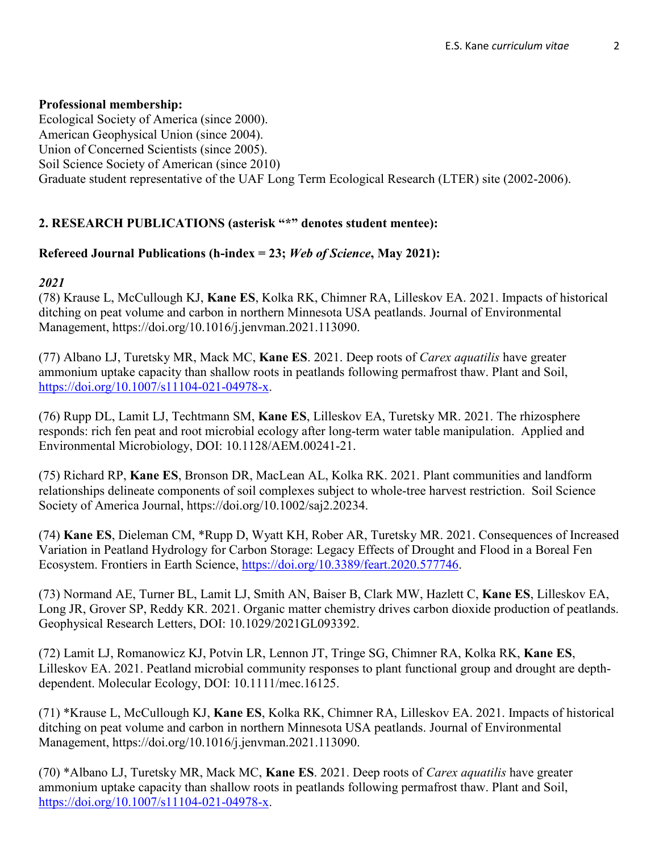## **Professional membership:**

Ecological Society of America (since 2000). American Geophysical Union (since 2004). Union of Concerned Scientists (since 2005). Soil Science Society of American (since 2010) Graduate student representative of the UAF Long Term Ecological Research (LTER) site (2002-2006).

## **2. RESEARCH PUBLICATIONS (asterisk "\*" denotes student mentee):**

## **Refereed Journal Publications (h-index = 23;** *Web of Science***, May 2021):**

#### *2021*

(78) Krause L, McCullough KJ, **Kane ES**, Kolka RK, Chimner RA, Lilleskov EA. 2021. Impacts of historical ditching on peat volume and carbon in northern Minnesota USA peatlands. Journal of Environmental Management, https://doi.org/10.1016/j.jenvman.2021.113090.

(77) Albano LJ, Turetsky MR, Mack MC, **Kane ES**. 2021. Deep roots of *Carex aquatilis* have greater ammonium uptake capacity than shallow roots in peatlands following permafrost thaw. Plant and Soil, [https://doi.org/10.1007/s11104-021-04978-x.](https://doi.org/10.1007/s11104-021-04978-x)

(76) Rupp DL, Lamit LJ, Techtmann SM, **Kane ES**, Lilleskov EA, Turetsky MR. 2021. The rhizosphere responds: rich fen peat and root microbial ecology after long-term water table manipulation. Applied and Environmental Microbiology, DOI: 10.1128/AEM.00241-21.

(75) Richard RP, **Kane ES**, Bronson DR, MacLean AL, Kolka RK. 2021. Plant communities and landform relationships delineate components of soil complexes subject to whole‐tree harvest restriction. Soil Science Society of America Journal, https://doi.org/10.1002/saj2.20234.

(74) **Kane ES**, Dieleman CM, \*Rupp D, Wyatt KH, Rober AR, Turetsky MR. 2021. Consequences of Increased Variation in Peatland Hydrology for Carbon Storage: Legacy Effects of Drought and Flood in a Boreal Fen Ecosystem. Frontiers in Earth Science, [https://doi.org/10.3389/feart.2020.577746.](https://doi.org/10.3389/feart.2020.577746)

(73) Normand AE, Turner BL, Lamit LJ, Smith AN, Baiser B, Clark MW, Hazlett C, **Kane ES**, Lilleskov EA, Long JR, Grover SP, Reddy KR. 2021. Organic matter chemistry drives carbon dioxide production of peatlands. Geophysical Research Letters, DOI: 10.1029/2021GL093392.

(72) Lamit LJ, Romanowicz KJ, Potvin LR, Lennon JT, Tringe SG, Chimner RA, Kolka RK, **Kane ES**, Lilleskov EA. 2021. Peatland microbial community responses to plant functional group and drought are depthdependent. Molecular Ecology, DOI: 10.1111/mec.16125.

(71) \*Krause L, McCullough KJ, **Kane ES**, Kolka RK, Chimner RA, Lilleskov EA. 2021. Impacts of historical ditching on peat volume and carbon in northern Minnesota USA peatlands. Journal of Environmental Management, https://doi.org/10.1016/j.jenvman.2021.113090.

(70) \*Albano LJ, Turetsky MR, Mack MC, **Kane ES**. 2021. Deep roots of *Carex aquatilis* have greater ammonium uptake capacity than shallow roots in peatlands following permafrost thaw. Plant and Soil, [https://doi.org/10.1007/s11104-021-04978-x.](https://doi.org/10.1007/s11104-021-04978-x)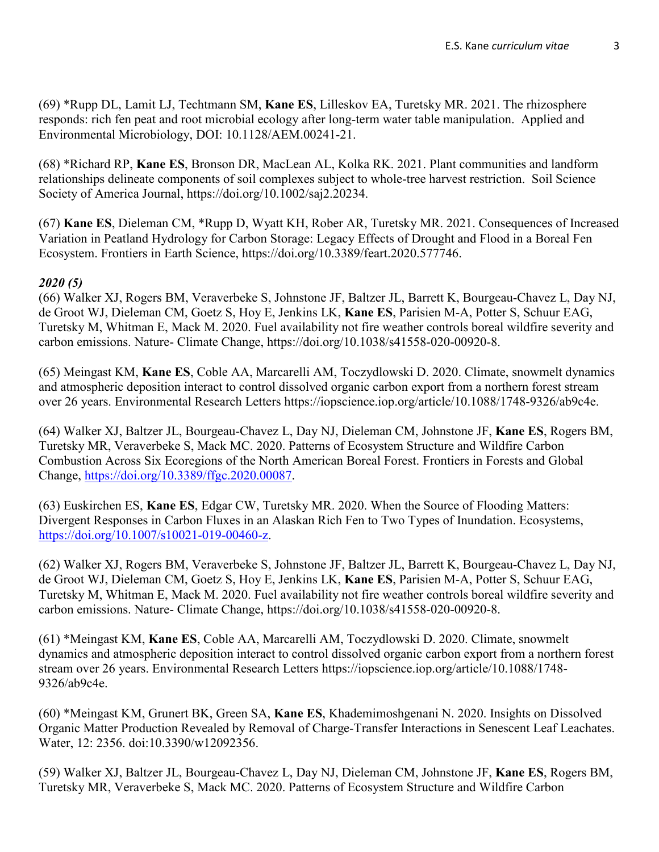(69) \*Rupp DL, Lamit LJ, Techtmann SM, **Kane ES**, Lilleskov EA, Turetsky MR. 2021. The rhizosphere responds: rich fen peat and root microbial ecology after long-term water table manipulation. Applied and Environmental Microbiology, DOI: 10.1128/AEM.00241-21.

(68) \*Richard RP, **Kane ES**, Bronson DR, MacLean AL, Kolka RK. 2021. Plant communities and landform relationships delineate components of soil complexes subject to whole‐tree harvest restriction. Soil Science Society of America Journal, https://doi.org/10.1002/saj2.20234.

(67) **Kane ES**, Dieleman CM, \*Rupp D, Wyatt KH, Rober AR, Turetsky MR. 2021. Consequences of Increased Variation in Peatland Hydrology for Carbon Storage: Legacy Effects of Drought and Flood in a Boreal Fen Ecosystem. Frontiers in Earth Science, https://doi.org/10.3389/feart.2020.577746.

#### *2020 (5)*

(66) Walker XJ, Rogers BM, Veraverbeke S, Johnstone JF, Baltzer JL, Barrett K, Bourgeau-Chavez L, Day NJ, de Groot WJ, Dieleman CM, Goetz S, Hoy E, Jenkins LK, **Kane ES**, Parisien M-A, Potter S, Schuur EAG, Turetsky M, Whitman E, Mack M. 2020. Fuel availability not fire weather controls boreal wildfire severity and carbon emissions. Nature- Climate Change, https://doi.org/10.1038/s41558-020-00920-8.

(65) Meingast KM, **Kane ES**, Coble AA, Marcarelli AM, Toczydlowski D. 2020. Climate, snowmelt dynamics and atmospheric deposition interact to control dissolved organic carbon export from a northern forest stream over 26 years. Environmental Research Letters https://iopscience.iop.org/article/10.1088/1748-9326/ab9c4e.

(64) Walker XJ, Baltzer JL, Bourgeau-Chavez L, Day NJ, Dieleman CM, Johnstone JF, **Kane ES**, Rogers BM, Turetsky MR, Veraverbeke S, Mack MC. 2020. Patterns of Ecosystem Structure and Wildfire Carbon Combustion Across Six Ecoregions of the North American Boreal Forest. Frontiers in Forests and Global Change, [https://doi.org/10.3389/ffgc.2020.00087.](https://doi.org/10.3389/ffgc.2020.00087)

(63) Euskirchen ES, **Kane ES**, Edgar CW, Turetsky MR. 2020. When the Source of Flooding Matters: Divergent Responses in Carbon Fluxes in an Alaskan Rich Fen to Two Types of Inundation. Ecosystems, [https://doi.org/10.1007/s10021-019-00460-z.](https://doi.org/10.1007/s10021-019-00460-z)

(62) Walker XJ, Rogers BM, Veraverbeke S, Johnstone JF, Baltzer JL, Barrett K, Bourgeau-Chavez L, Day NJ, de Groot WJ, Dieleman CM, Goetz S, Hoy E, Jenkins LK, **Kane ES**, Parisien M-A, Potter S, Schuur EAG, Turetsky M, Whitman E, Mack M. 2020. Fuel availability not fire weather controls boreal wildfire severity and carbon emissions. Nature- Climate Change, https://doi.org/10.1038/s41558-020-00920-8.

(61) \*Meingast KM, **Kane ES**, Coble AA, Marcarelli AM, Toczydlowski D. 2020. Climate, snowmelt dynamics and atmospheric deposition interact to control dissolved organic carbon export from a northern forest stream over 26 years. Environmental Research Letters https://iopscience.iop.org/article/10.1088/1748- 9326/ab9c4e.

(60) \*Meingast KM, Grunert BK, Green SA, **Kane ES**, Khademimoshgenani N. 2020. Insights on Dissolved Organic Matter Production Revealed by Removal of Charge-Transfer Interactions in Senescent Leaf Leachates. Water, 12: 2356. doi:10.3390/w12092356.

(59) Walker XJ, Baltzer JL, Bourgeau-Chavez L, Day NJ, Dieleman CM, Johnstone JF, **Kane ES**, Rogers BM, Turetsky MR, Veraverbeke S, Mack MC. 2020. Patterns of Ecosystem Structure and Wildfire Carbon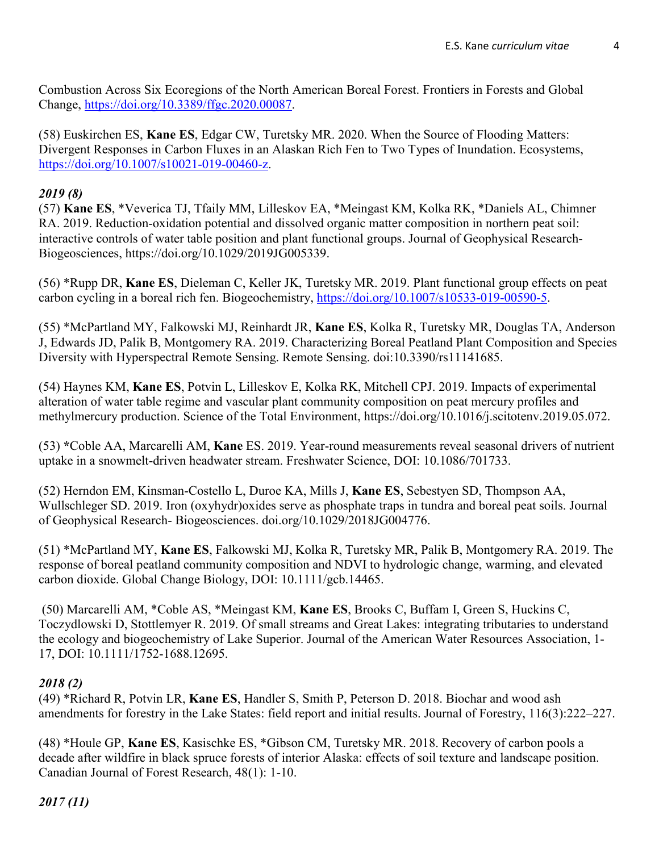Combustion Across Six Ecoregions of the North American Boreal Forest. Frontiers in Forests and Global Change, [https://doi.org/10.3389/ffgc.2020.00087.](https://doi.org/10.3389/ffgc.2020.00087)

(58) Euskirchen ES, **Kane ES**, Edgar CW, Turetsky MR. 2020. When the Source of Flooding Matters: Divergent Responses in Carbon Fluxes in an Alaskan Rich Fen to Two Types of Inundation. Ecosystems, [https://doi.org/10.1007/s10021-019-00460-z.](https://doi.org/10.1007/s10021-019-00460-z)

## *2019 (8)*

(57) **Kane ES**, \*Veverica TJ, Tfaily MM, Lilleskov EA, \*Meingast KM, Kolka RK, \*Daniels AL, Chimner RA. 2019. Reduction-oxidation potential and dissolved organic matter composition in northern peat soil: interactive controls of water table position and plant functional groups. Journal of Geophysical Research-Biogeosciences, https://doi.org/10.1029/2019JG005339.

(56) \*Rupp DR, **Kane ES**, Dieleman C, Keller JK, Turetsky MR. 2019. Plant functional group effects on peat carbon cycling in a boreal rich fen. Biogeochemistry, [https://doi.org/10.1007/s10533-019-00590-5.](https://doi.org/10.1007/s10533-019-00590-5)

(55) \*McPartland MY, Falkowski MJ, Reinhardt JR, **Kane ES**, Kolka R, Turetsky MR, Douglas TA, Anderson J, Edwards JD, Palik B, Montgomery RA. 2019. Characterizing Boreal Peatland Plant Composition and Species Diversity with Hyperspectral Remote Sensing. Remote Sensing. doi:10.3390/rs11141685.

(54) Haynes KM, **Kane ES**, Potvin L, Lilleskov E, Kolka RK, Mitchell CPJ. 2019. Impacts of experimental alteration of water table regime and vascular plant community composition on peat mercury profiles and methylmercury production. Science of the Total Environment, https://doi.org/10.1016/j.scitotenv.2019.05.072.

(53) **\***Coble AA, Marcarelli AM, **Kane** ES. 2019. Year-round measurements reveal seasonal drivers of nutrient uptake in a snowmelt-driven headwater stream. Freshwater Science, DOI: 10.1086/701733.

(52) Herndon EM, Kinsman‐Costello L, Duroe KA, Mills J, **Kane ES**, Sebestyen SD, Thompson AA, Wullschleger SD. 2019. Iron (oxyhydr)oxides serve as phosphate traps in tundra and boreal peat soils. Journal of Geophysical Research- Biogeosciences. doi.org/10.1029/2018JG004776.

(51) \*McPartland MY, **Kane ES**, Falkowski MJ, Kolka R, Turetsky MR, Palik B, Montgomery RA. 2019. The response of boreal peatland community composition and NDVI to hydrologic change, warming, and elevated carbon dioxide. Global Change Biology, DOI: 10.1111/gcb.14465.

(50) Marcarelli AM, \*Coble AS, \*Meingast KM, **Kane ES**, Brooks C, Buffam I, Green S, Huckins C, Toczydlowski D, Stottlemyer R. 2019. Of small streams and Great Lakes: integrating tributaries to understand the ecology and biogeochemistry of Lake Superior. Journal of the American Water Resources Association, 1- 17, DOI: 10.1111/1752-1688.12695.

# *2018 (2)*

(49) \*Richard R, Potvin LR, **Kane ES**, Handler S, Smith P, Peterson D. 2018. Biochar and wood ash amendments for forestry in the Lake States: field report and initial results. Journal of Forestry, 116(3):222–227.

(48) \*Houle GP, **Kane ES**, Kasischke ES, \*Gibson CM, Turetsky MR. 2018. Recovery of carbon pools a decade after wildfire in black spruce forests of interior Alaska: effects of soil texture and landscape position. Canadian Journal of Forest Research, 48(1): 1-10.

*2017 (11)*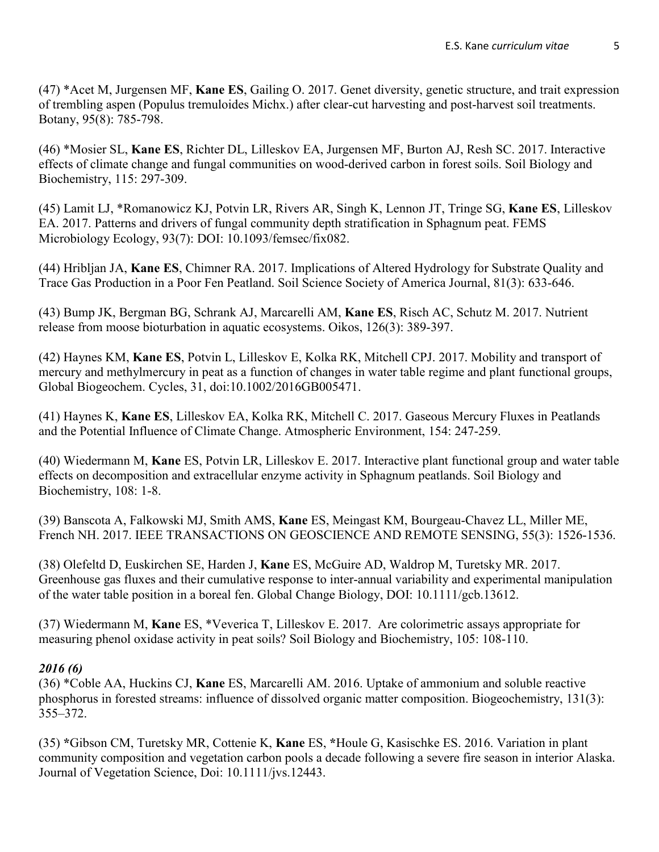(47) \*Acet M, Jurgensen MF, **Kane ES**, Gailing O. 2017. Genet diversity, genetic structure, and trait expression of trembling aspen (Populus tremuloides Michx.) after clear-cut harvesting and post-harvest soil treatments. Botany, 95(8): 785-798.

(46) \*Mosier SL, **Kane ES**, Richter DL, Lilleskov EA, Jurgensen MF, Burton AJ, Resh SC. 2017. Interactive effects of climate change and fungal communities on wood-derived carbon in forest soils. Soil Biology and Biochemistry, 115: 297-309.

(45) Lamit LJ, \*Romanowicz KJ, Potvin LR, Rivers AR, Singh K, Lennon JT, Tringe SG, **Kane ES**, Lilleskov EA. 2017. Patterns and drivers of fungal community depth stratification in Sphagnum peat. FEMS Microbiology Ecology, 93(7): DOI: 10.1093/femsec/fix082.

(44) Hribljan JA, **Kane ES**, Chimner RA. 2017. Implications of Altered Hydrology for Substrate Quality and Trace Gas Production in a Poor Fen Peatland. Soil Science Society of America Journal, 81(3): 633-646.

(43) Bump JK, Bergman BG, Schrank AJ, Marcarelli AM, **Kane ES**, Risch AC, Schutz M. 2017. Nutrient release from moose bioturbation in aquatic ecosystems. Oikos, 126(3): 389-397.

(42) Haynes KM, **Kane ES**, Potvin L, Lilleskov E, Kolka RK, Mitchell CPJ. 2017. Mobility and transport of mercury and methylmercury in peat as a function of changes in water table regime and plant functional groups, Global Biogeochem. Cycles, 31, doi:10.1002/2016GB005471.

(41) Haynes K, **Kane ES**, Lilleskov EA, Kolka RK, Mitchell C. 2017. Gaseous Mercury Fluxes in Peatlands and the Potential Influence of Climate Change. Atmospheric Environment, 154: 247-259.

(40) Wiedermann M, **Kane** ES, Potvin LR, Lilleskov E. 2017. Interactive plant functional group and water table effects on decomposition and extracellular enzyme activity in Sphagnum peatlands. Soil Biology and Biochemistry, 108: 1-8.

(39) Banscota A, Falkowski MJ, Smith AMS, **Kane** ES, Meingast KM, Bourgeau-Chavez LL, Miller ME, French NH. 2017. IEEE TRANSACTIONS ON GEOSCIENCE AND REMOTE SENSING, 55(3): 1526-1536.

(38) Olefeltd D, Euskirchen SE, Harden J, **Kane** ES, McGuire AD, Waldrop M, Turetsky MR. 2017. Greenhouse gas fluxes and their cumulative response to inter-annual variability and experimental manipulation of the water table position in a boreal fen. Global Change Biology, DOI: 10.1111/gcb.13612.

(37) Wiedermann M, **Kane** ES, \*Veverica T, Lilleskov E. 2017. Are colorimetric assays appropriate for measuring phenol oxidase activity in peat soils? Soil Biology and Biochemistry, 105: 108-110.

## *2016 (6)*

(36) \*Coble AA, Huckins CJ, **Kane** ES, Marcarelli AM. 2016. Uptake of ammonium and soluble reactive phosphorus in forested streams: influence of dissolved organic matter composition. Biogeochemistry, 131(3): 355–372.

(35) **\***Gibson CM, Turetsky MR, Cottenie K, **Kane** ES, **\***Houle G, Kasischke ES. 2016. Variation in plant community composition and vegetation carbon pools a decade following a severe fire season in interior Alaska. Journal of Vegetation Science, Doi: 10.1111/jvs.12443.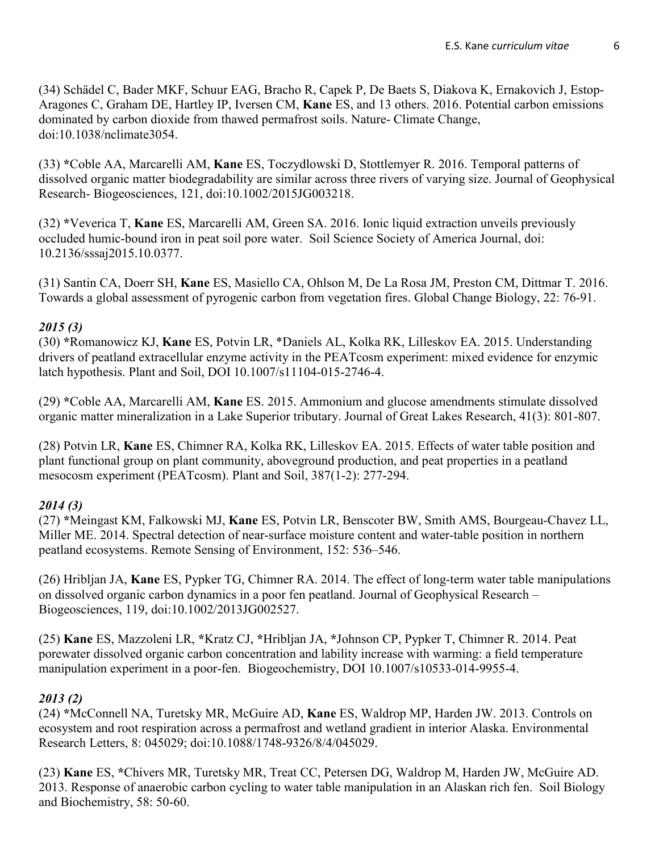(34) Schädel C, Bader MKF, Schuur EAG, Bracho R, Capek P, De Baets S, Diakova K, Ernakovich J, Estop-Aragones C, Graham DE, Hartley IP, Iversen CM, **Kane** ES, and 13 others. 2016. Potential carbon emissions dominated by carbon dioxide from thawed permafrost soils. Nature- Climate Change, doi:10.1038/nclimate3054.

(33) **\***Coble AA, Marcarelli AM, **Kane** ES, Toczydlowski D, Stottlemyer R. 2016. Temporal patterns of dissolved organic matter biodegradability are similar across three rivers of varying size. Journal of Geophysical Research- Biogeosciences, 121, doi:10.1002/2015JG003218.

(32) **\***Veverica T, **Kane** ES, Marcarelli AM, Green SA. 2016. Ionic liquid extraction unveils previously occluded humic-bound iron in peat soil pore water. Soil Science Society of America Journal, doi: 10.2136/sssaj2015.10.0377.

(31) Santin CA, Doerr SH, **Kane** ES, Masiello CA, Ohlson M, De La Rosa JM, Preston CM, Dittmar T. 2016. Towards a global assessment of pyrogenic carbon from vegetation fires. Global Change Biology, 22: 76-91.

#### *2015 (3)*

(30) **\***Romanowicz KJ, **Kane** ES, Potvin LR, \*Daniels AL, Kolka RK, Lilleskov EA. 2015. Understanding drivers of peatland extracellular enzyme activity in the PEATcosm experiment: mixed evidence for enzymic latch hypothesis. Plant and Soil, DOI 10.1007/s11104-015-2746-4.

(29) **\***Coble AA, Marcarelli AM, **Kane** ES. 2015. Ammonium and glucose amendments stimulate dissolved organic matter mineralization in a Lake Superior tributary. Journal of Great Lakes Research, 41(3): 801-807.

(28) Potvin LR, **Kane** ES, Chimner RA, Kolka RK, Lilleskov EA. 2015. Effects of water table position and plant functional group on plant community, aboveground production, and peat properties in a peatland mesocosm experiment (PEATcosm). Plant and Soil, 387(1-2): 277-294.

#### *2014 (3)*

(27) **\***Meingast KM, Falkowski MJ, **Kane** ES, Potvin LR, Benscoter BW, Smith AMS, Bourgeau-Chavez LL, Miller ME. 2014. Spectral detection of near-surface moisture content and water-table position in northern peatland ecosystems. Remote Sensing of Environment, 152: 536–546.

(26) Hribljan JA, **Kane** ES, Pypker TG, Chimner RA. 2014. The effect of long-term water table manipulations on dissolved organic carbon dynamics in a poor fen peatland. Journal of Geophysical Research – Biogeosciences, 119, doi:10.1002/2013JG002527.

(25) **Kane** ES, Mazzoleni LR, **\***Kratz CJ, **\***Hribljan JA, **\***Johnson CP, Pypker T, Chimner R. 2014. Peat porewater dissolved organic carbon concentration and lability increase with warming: a field temperature manipulation experiment in a poor-fen. Biogeochemistry, DOI 10.1007/s10533-014-9955-4.

#### *2013 (2)*

(24) **\***McConnell NA, Turetsky MR, McGuire AD, **Kane** ES, Waldrop MP, Harden JW. 2013. Controls on ecosystem and root respiration across a permafrost and wetland gradient in interior Alaska. Environmental Research Letters, 8: 045029; doi:10.1088/1748-9326/8/4/045029.

(23) **Kane** ES, **\***Chivers MR, Turetsky MR, Treat CC, Petersen DG, Waldrop M, Harden JW, McGuire AD. 2013. Response of anaerobic carbon cycling to water table manipulation in an Alaskan rich fen. Soil Biology and Biochemistry, 58: 50-60.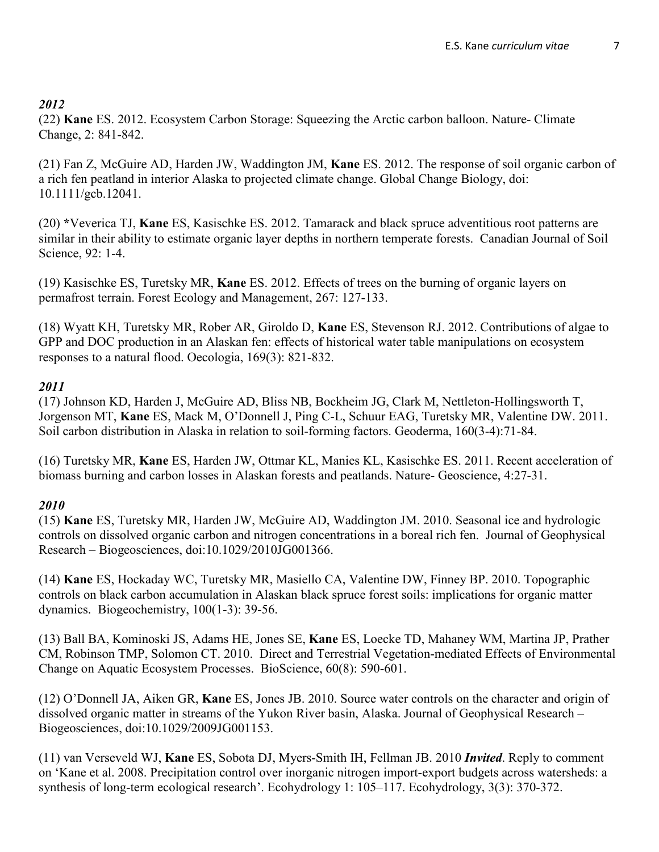# *2012*

(22) **Kane** ES. 2012. Ecosystem Carbon Storage: Squeezing the Arctic carbon balloon. Nature- Climate Change, 2: 841-842.

(21) Fan Z, McGuire AD, Harden JW, Waddington JM, **Kane** ES. 2012. The response of soil organic carbon of a rich fen peatland in interior Alaska to projected climate change. Global Change Biology, doi: 10.1111/gcb.12041.

(20) **\***Veverica TJ, **Kane** ES, Kasischke ES. 2012. Tamarack and black spruce adventitious root patterns are similar in their ability to estimate organic layer depths in northern temperate forests. Canadian Journal of Soil Science, 92: 1-4.

(19) Kasischke ES, Turetsky MR, **Kane** ES. 2012. Effects of trees on the burning of organic layers on permafrost terrain. Forest Ecology and Management, 267: 127-133.

(18) Wyatt KH, Turetsky MR, Rober AR, Giroldo D, **Kane** ES, Stevenson RJ. 2012. Contributions of algae to GPP and DOC production in an Alaskan fen: effects of historical water table manipulations on ecosystem responses to a natural flood. Oecologia, 169(3): 821-832.

# *2011*

(17) Johnson KD, Harden J, McGuire AD, Bliss NB, Bockheim JG, Clark M, Nettleton-Hollingsworth T, Jorgenson MT, **Kane** ES, Mack M, O'Donnell J, Ping C-L, Schuur EAG, Turetsky MR, Valentine DW. 2011. Soil carbon distribution in Alaska in relation to soil-forming factors. Geoderma, 160(3-4):71-84.

(16) Turetsky MR, **Kane** ES, Harden JW, Ottmar KL, Manies KL, Kasischke ES. 2011. Recent acceleration of biomass burning and carbon losses in Alaskan forests and peatlands. Nature- Geoscience, 4:27-31.

# *2010*

(15) **Kane** ES, Turetsky MR, Harden JW, McGuire AD, Waddington JM. 2010. Seasonal ice and hydrologic controls on dissolved organic carbon and nitrogen concentrations in a boreal rich fen. Journal of Geophysical Research – Biogeosciences, doi:10.1029/2010JG001366.

(14) **Kane** ES, Hockaday WC, Turetsky MR, Masiello CA, Valentine DW, Finney BP. 2010. Topographic controls on black carbon accumulation in Alaskan black spruce forest soils: implications for organic matter dynamics. Biogeochemistry, 100(1-3): 39-56.

(13) Ball BA, Kominoski JS, Adams HE, Jones SE, **Kane** ES, Loecke TD, Mahaney WM, Martina JP, Prather CM, Robinson TMP, Solomon CT. 2010. Direct and Terrestrial Vegetation-mediated Effects of Environmental Change on Aquatic Ecosystem Processes. BioScience, 60(8): 590-601.

(12) O'Donnell JA, Aiken GR, **Kane** ES, Jones JB. 2010. Source water controls on the character and origin of dissolved organic matter in streams of the Yukon River basin, Alaska. Journal of Geophysical Research – Biogeosciences, doi:10.1029/2009JG001153.

(11) van Verseveld WJ, **Kane** ES, Sobota DJ, Myers-Smith IH, Fellman JB. 2010 *Invited*. Reply to comment on 'Kane et al. 2008. Precipitation control over inorganic nitrogen import-export budgets across watersheds: a synthesis of long-term ecological research'. Ecohydrology 1: 105–117. Ecohydrology, 3(3): 370-372.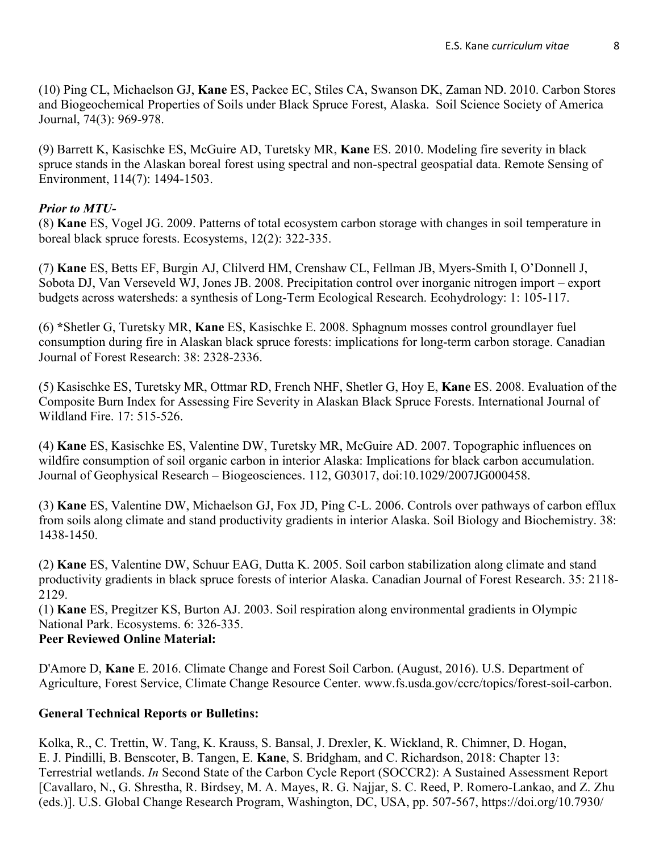(10) Ping CL, Michaelson GJ, **Kane** ES, Packee EC, Stiles CA, Swanson DK, Zaman ND. 2010. Carbon Stores and Biogeochemical Properties of Soils under Black Spruce Forest, Alaska. Soil Science Society of America Journal, 74(3): 969-978.

(9) Barrett K, Kasischke ES, McGuire AD, Turetsky MR, **Kane** ES. 2010. Modeling fire severity in black spruce stands in the Alaskan boreal forest using spectral and non-spectral geospatial data. Remote Sensing of Environment, 114(7): 1494-1503.

# *Prior to MTU-*

(8) **Kane** ES, Vogel JG. 2009. Patterns of total ecosystem carbon storage with changes in soil temperature in boreal black spruce forests. Ecosystems, 12(2): 322-335.

(7) **Kane** ES, Betts EF, Burgin AJ, Clilverd HM, Crenshaw CL, Fellman JB, Myers-Smith I, O'Donnell J, Sobota DJ, Van Verseveld WJ, Jones JB. 2008. Precipitation control over inorganic nitrogen import – export budgets across watersheds: a synthesis of Long-Term Ecological Research. Ecohydrology: 1: 105-117.

(6) **\***Shetler G, Turetsky MR, **Kane** ES, Kasischke E. 2008. Sphagnum mosses control groundlayer fuel consumption during fire in Alaskan black spruce forests: implications for long-term carbon storage. Canadian Journal of Forest Research: 38: 2328-2336.

(5) Kasischke ES, Turetsky MR, Ottmar RD, French NHF, Shetler G, Hoy E, **Kane** ES. 2008. Evaluation of the Composite Burn Index for Assessing Fire Severity in Alaskan Black Spruce Forests. International Journal of Wildland Fire. 17: 515-526.

(4) **Kane** ES, Kasischke ES, Valentine DW, Turetsky MR, McGuire AD. 2007. Topographic influences on wildfire consumption of soil organic carbon in interior Alaska: Implications for black carbon accumulation. Journal of Geophysical Research – Biogeosciences. 112, G03017, doi:10.1029/2007JG000458.

(3) **Kane** ES, Valentine DW, Michaelson GJ, Fox JD, Ping C-L. 2006. Controls over pathways of carbon efflux from soils along climate and stand productivity gradients in interior Alaska. Soil Biology and Biochemistry. 38: 1438-1450.

(2) **Kane** ES, Valentine DW, Schuur EAG, Dutta K. 2005. Soil carbon stabilization along climate and stand productivity gradients in black spruce forests of interior Alaska. Canadian Journal of Forest Research. 35: 2118- 2129.

(1) **Kane** ES, Pregitzer KS, Burton AJ. 2003. Soil respiration along environmental gradients in Olympic National Park. Ecosystems. 6: 326-335. **Peer Reviewed Online Material:**

D'Amore D, **Kane** E. 2016. Climate Change and Forest Soil Carbon. (August, 2016). U.S. Department of Agriculture, Forest Service, Climate Change Resource Center. www.fs.usda.gov/ccrc/topics/forest-soil-carbon.

# **General Technical Reports or Bulletins:**

Kolka, R., C. Trettin, W. Tang, K. Krauss, S. Bansal, J. Drexler, K. Wickland, R. Chimner, D. Hogan, E. J. Pindilli, B. Benscoter, B. Tangen, E. **Kane**, S. Bridgham, and C. Richardson, 2018: Chapter 13: Terrestrial wetlands. *In* Second State of the Carbon Cycle Report (SOCCR2): A Sustained Assessment Report [Cavallaro, N., G. Shrestha, R. Birdsey, M. A. Mayes, R. G. Najjar, S. C. Reed, P. Romero-Lankao, and Z. Zhu (eds.)]. U.S. Global Change Research Program, Washington, DC, USA, pp. 507-567, https://doi.org/10.7930/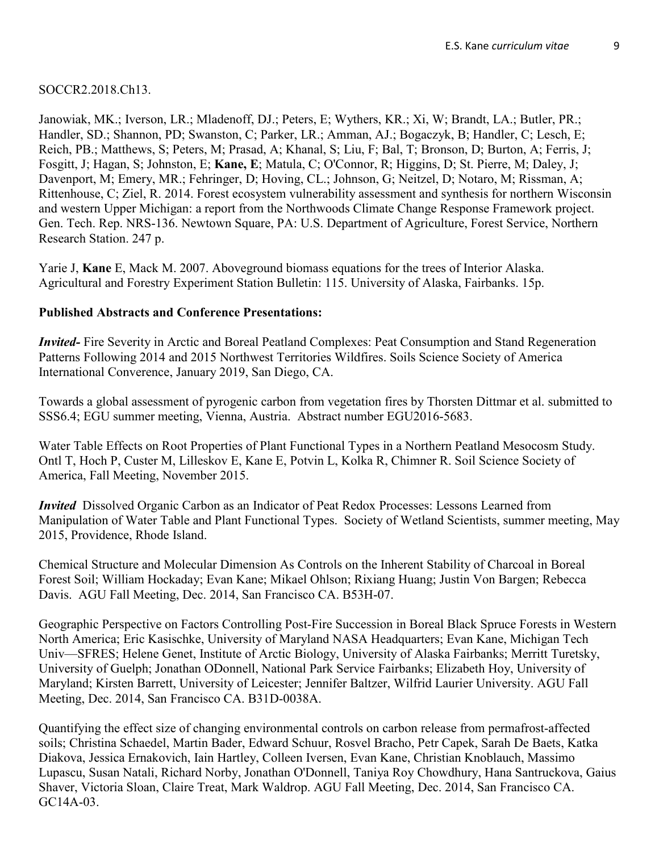SOCCR2.2018.Ch13.

Janowiak, MK.; Iverson, LR.; Mladenoff, DJ.; Peters, E; Wythers, KR.; Xi, W; Brandt, LA.; Butler, PR.; Handler, SD.; Shannon, PD; Swanston, C; Parker, LR.; Amman, AJ.; Bogaczyk, B; Handler, C; Lesch, E; Reich, PB.; Matthews, S; Peters, M; Prasad, A; Khanal, S; Liu, F; Bal, T; Bronson, D; Burton, A; Ferris, J; Fosgitt, J; Hagan, S; Johnston, E; **Kane, E**; Matula, C; O'Connor, R; Higgins, D; St. Pierre, M; Daley, J; Davenport, M; Emery, MR.; Fehringer, D; Hoving, CL.; Johnson, G; Neitzel, D; Notaro, M; Rissman, A; Rittenhouse, C; Ziel, R. 2014. Forest ecosystem vulnerability assessment and synthesis for northern Wisconsin and western Upper Michigan: a report from the Northwoods Climate Change Response Framework project. Gen. Tech. Rep. NRS-136. Newtown Square, PA: U.S. Department of Agriculture, Forest Service, Northern Research Station. 247 p.

Yarie J, **Kane** E, Mack M. 2007. Aboveground biomass equations for the trees of Interior Alaska. Agricultural and Forestry Experiment Station Bulletin: 115. University of Alaska, Fairbanks. 15p.

## **Published Abstracts and Conference Presentations:**

*Invited-* Fire Severity in Arctic and Boreal Peatland Complexes: Peat Consumption and Stand Regeneration Patterns Following 2014 and 2015 Northwest Territories Wildfires. Soils Science Society of America International Converence, January 2019, San Diego, CA.

Towards a global assessment of pyrogenic carbon from vegetation fires by Thorsten Dittmar et al. submitted to SSS6.4; EGU summer meeting, Vienna, Austria. Abstract number EGU2016-5683.

Water Table Effects on Root Properties of Plant Functional Types in a Northern Peatland Mesocosm Study. Ontl T, Hoch P, Custer M, Lilleskov E, Kane E, Potvin L, Kolka R, Chimner R. Soil Science Society of America, Fall Meeting, November 2015.

*Invited* Dissolved Organic Carbon as an Indicator of Peat Redox Processes: Lessons Learned from Manipulation of Water Table and Plant Functional Types. Society of Wetland Scientists, summer meeting, May 2015, Providence, Rhode Island.

Chemical Structure and Molecular Dimension As Controls on the Inherent Stability of Charcoal in Boreal Forest Soil; William Hockaday; Evan Kane; Mikael Ohlson; Rixiang Huang; Justin Von Bargen; Rebecca Davis. AGU Fall Meeting, Dec. 2014, San Francisco CA. B53H-07.

Geographic Perspective on Factors Controlling Post-Fire Succession in Boreal Black Spruce Forests in Western North America; Eric Kasischke, University of Maryland NASA Headquarters; Evan Kane, Michigan Tech Univ—SFRES; Helene Genet, Institute of Arctic Biology, University of Alaska Fairbanks; Merritt Turetsky, University of Guelph; Jonathan ODonnell, National Park Service Fairbanks; Elizabeth Hoy, University of Maryland; Kirsten Barrett, University of Leicester; Jennifer Baltzer, Wilfrid Laurier University. AGU Fall Meeting, Dec. 2014, San Francisco CA. B31D-0038A.

Quantifying the effect size of changing environmental controls on carbon release from permafrost-affected soils; Christina Schaedel, Martin Bader, Edward Schuur, Rosvel Bracho, Petr Capek, Sarah De Baets, Katka Diakova, Jessica Ernakovich, Iain Hartley, Colleen Iversen, Evan Kane, Christian Knoblauch, Massimo Lupascu, Susan Natali, Richard Norby, Jonathan O'Donnell, Taniya Roy Chowdhury, Hana Santruckova, Gaius Shaver, Victoria Sloan, Claire Treat, Mark Waldrop. AGU Fall Meeting, Dec. 2014, San Francisco CA. GC14A-03.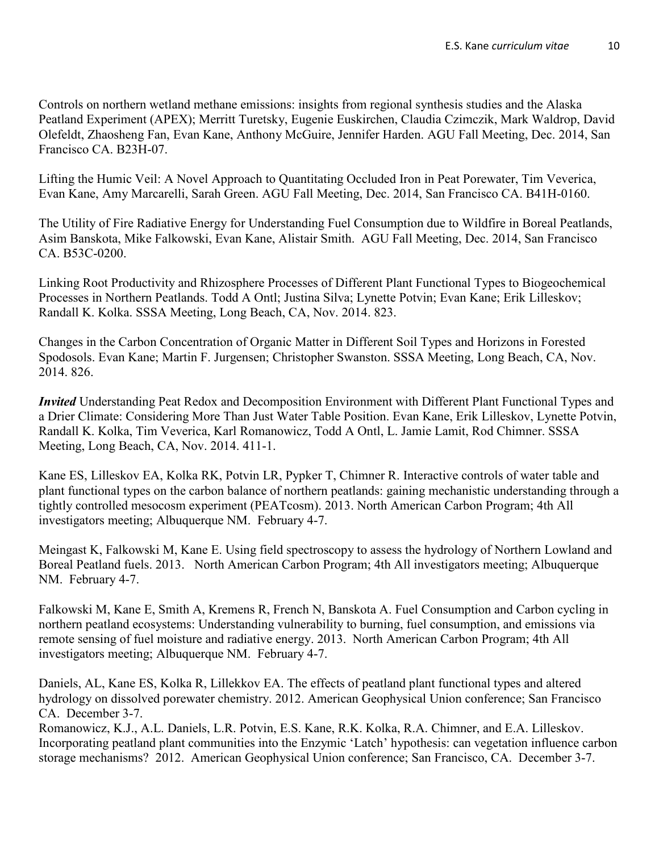Controls on northern wetland methane emissions: insights from regional synthesis studies and the Alaska Peatland Experiment (APEX); Merritt Turetsky, Eugenie Euskirchen, Claudia Czimczik, Mark Waldrop, David Olefeldt, Zhaosheng Fan, Evan Kane, Anthony McGuire, Jennifer Harden. AGU Fall Meeting, Dec. 2014, San Francisco CA. B23H-07.

Lifting the Humic Veil: A Novel Approach to Quantitating Occluded Iron in Peat Porewater, Tim Veverica, Evan Kane, Amy Marcarelli, Sarah Green. AGU Fall Meeting, Dec. 2014, San Francisco CA. B41H-0160.

The Utility of Fire Radiative Energy for Understanding Fuel Consumption due to Wildfire in Boreal Peatlands, Asim Banskota, Mike Falkowski, Evan Kane, Alistair Smith. AGU Fall Meeting, Dec. 2014, San Francisco CA. B53C-0200.

Linking Root Productivity and Rhizosphere Processes of Different Plant Functional Types to Biogeochemical Processes in Northern Peatlands. Todd A Ontl; Justina Silva; Lynette Potvin; Evan Kane; Erik Lilleskov; Randall K. Kolka. SSSA Meeting, Long Beach, CA, Nov. 2014. 823.

Changes in the Carbon Concentration of Organic Matter in Different Soil Types and Horizons in Forested Spodosols. Evan Kane; Martin F. Jurgensen; Christopher Swanston. SSSA Meeting, Long Beach, CA, Nov. 2014. 826.

*Invited* Understanding Peat Redox and Decomposition Environment with Different Plant Functional Types and a Drier Climate: Considering More Than Just Water Table Position. Evan Kane, Erik Lilleskov, Lynette Potvin, Randall K. Kolka, Tim Veverica, Karl Romanowicz, Todd A Ontl, L. Jamie Lamit, Rod Chimner. SSSA Meeting, Long Beach, CA, Nov. 2014. 411-1.

Kane ES, Lilleskov EA, Kolka RK, Potvin LR, Pypker T, Chimner R. Interactive controls of water table and plant functional types on the carbon balance of northern peatlands: gaining mechanistic understanding through a tightly controlled mesocosm experiment (PEATcosm). 2013. North American Carbon Program; 4th All investigators meeting; Albuquerque NM. February 4-7.

Meingast K, Falkowski M, Kane E. Using field spectroscopy to assess the hydrology of Northern Lowland and Boreal Peatland fuels. 2013. North American Carbon Program; 4th All investigators meeting; Albuquerque NM. February 4-7.

Falkowski M, Kane E, Smith A, Kremens R, French N, Banskota A. Fuel Consumption and Carbon cycling in northern peatland ecosystems: Understanding vulnerability to burning, fuel consumption, and emissions via remote sensing of fuel moisture and radiative energy. 2013. North American Carbon Program; 4th All investigators meeting; Albuquerque NM. February 4-7.

Daniels, AL, Kane ES, Kolka R, Lillekkov EA. The effects of peatland plant functional types and altered hydrology on dissolved porewater chemistry. 2012. American Geophysical Union conference; San Francisco CA. December 3-7.

Romanowicz, K.J., A.L. Daniels, L.R. Potvin, E.S. Kane, R.K. Kolka, R.A. Chimner, and E.A. Lilleskov. Incorporating peatland plant communities into the Enzymic 'Latch' hypothesis: can vegetation influence carbon storage mechanisms? 2012. American Geophysical Union conference; San Francisco, CA. December 3-7.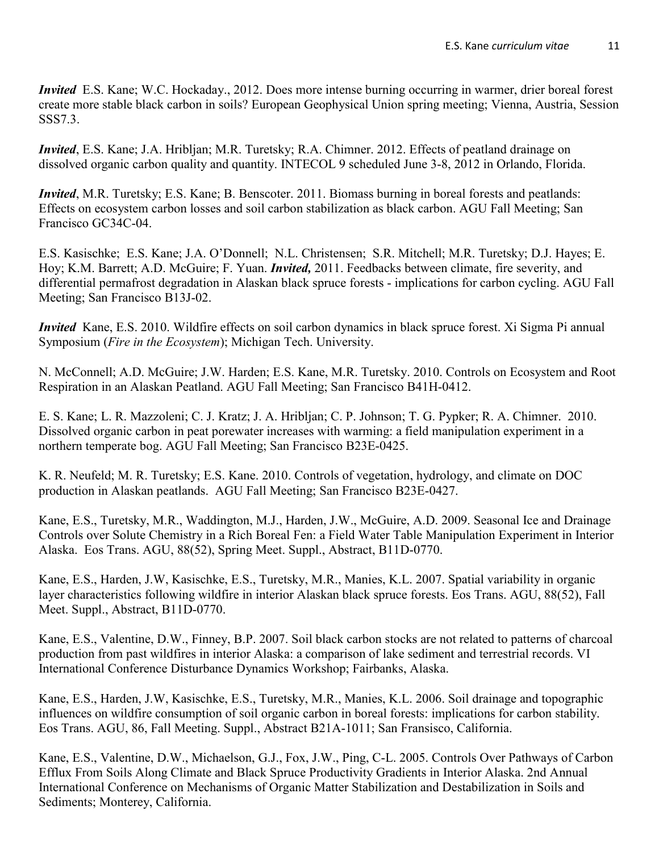*Invited* E.S. Kane; W.C. Hockaday., 2012. Does more intense burning occurring in warmer, drier boreal forest create more stable black carbon in soils? European Geophysical Union spring meeting; Vienna, Austria, Session SSS7.3.

*Invited*, E.S. Kane; J.A. Hribljan; M.R. Turetsky; R.A. Chimner. 2012. Effects of peatland drainage on dissolved organic carbon quality and quantity. INTECOL 9 scheduled June 3-8, 2012 in Orlando, Florida.

*Invited*, M.R. Turetsky; E.S. Kane; B. Benscoter. 2011. Biomass burning in boreal forests and peatlands: Effects on ecosystem carbon losses and soil carbon stabilization as black carbon. AGU Fall Meeting; San Francisco GC34C-04.

E.S. Kasischke; E.S. Kane; J.A. O'Donnell; N.L. Christensen; S.R. Mitchell; M.R. Turetsky; D.J. Hayes; E. Hoy; K.M. Barrett; A.D. McGuire; F. Yuan. *Invited,* 2011. Feedbacks between climate, fire severity, and differential permafrost degradation in Alaskan black spruce forests - implications for carbon cycling. AGU Fall Meeting; San Francisco B13J-02.

*Invited* Kane, E.S. 2010. Wildfire effects on soil carbon dynamics in black spruce forest. Xi Sigma Pi annual Symposium (*Fire in the Ecosystem*); Michigan Tech. University.

N. McConnell; A.D. McGuire; J.W. Harden; E.S. Kane, M.R. Turetsky. 2010. Controls on Ecosystem and Root Respiration in an Alaskan Peatland. AGU Fall Meeting; San Francisco B41H-0412.

E. S. Kane; L. R. Mazzoleni; C. J. Kratz; J. A. Hribljan; C. P. Johnson; T. G. Pypker; R. A. Chimner. 2010. Dissolved organic carbon in peat porewater increases with warming: a field manipulation experiment in a northern temperate bog. AGU Fall Meeting; San Francisco B23E-0425.

K. R. Neufeld; M. R. Turetsky; E.S. Kane. 2010. Controls of vegetation, hydrology, and climate on DOC production in Alaskan peatlands. AGU Fall Meeting; San Francisco B23E-0427.

Kane, E.S., Turetsky, M.R., Waddington, M.J., Harden, J.W., McGuire, A.D. 2009. Seasonal Ice and Drainage Controls over Solute Chemistry in a Rich Boreal Fen: a Field Water Table Manipulation Experiment in Interior Alaska. Eos Trans. AGU, 88(52), Spring Meet. Suppl., Abstract, B11D-0770.

Kane, E.S., Harden, J.W, Kasischke, E.S., Turetsky, M.R., Manies, K.L. 2007. Spatial variability in organic layer characteristics following wildfire in interior Alaskan black spruce forests. Eos Trans. AGU, 88(52), Fall Meet. Suppl., Abstract, B11D-0770.

Kane, E.S., Valentine, D.W., Finney, B.P. 2007. Soil black carbon stocks are not related to patterns of charcoal production from past wildfires in interior Alaska: a comparison of lake sediment and terrestrial records. VI International Conference Disturbance Dynamics Workshop; Fairbanks, Alaska.

Kane, E.S., Harden, J.W, Kasischke, E.S., Turetsky, M.R., Manies, K.L. 2006. Soil drainage and topographic influences on wildfire consumption of soil organic carbon in boreal forests: implications for carbon stability. Eos Trans. AGU, 86, Fall Meeting. Suppl., Abstract B21A-1011; San Fransisco, California.

Kane, E.S., Valentine, D.W., Michaelson, G.J., Fox, J.W., Ping, C-L. 2005. Controls Over Pathways of Carbon Efflux From Soils Along Climate and Black Spruce Productivity Gradients in Interior Alaska. 2nd Annual International Conference on Mechanisms of Organic Matter Stabilization and Destabilization in Soils and Sediments; Monterey, California.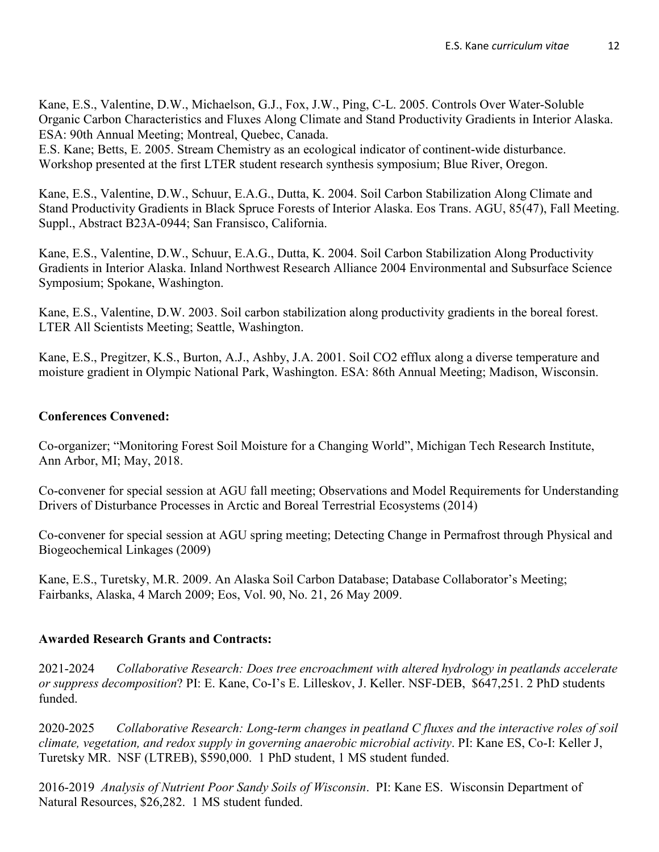Kane, E.S., Valentine, D.W., Michaelson, G.J., Fox, J.W., Ping, C-L. 2005. Controls Over Water-Soluble Organic Carbon Characteristics and Fluxes Along Climate and Stand Productivity Gradients in Interior Alaska. ESA: 90th Annual Meeting; Montreal, Quebec, Canada.

E.S. Kane; Betts, E. 2005. Stream Chemistry as an ecological indicator of continent-wide disturbance. Workshop presented at the first LTER student research synthesis symposium; Blue River, Oregon.

Kane, E.S., Valentine, D.W., Schuur, E.A.G., Dutta, K. 2004. Soil Carbon Stabilization Along Climate and Stand Productivity Gradients in Black Spruce Forests of Interior Alaska. Eos Trans. AGU, 85(47), Fall Meeting. Suppl., Abstract B23A-0944; San Fransisco, California.

Kane, E.S., Valentine, D.W., Schuur, E.A.G., Dutta, K. 2004. Soil Carbon Stabilization Along Productivity Gradients in Interior Alaska. Inland Northwest Research Alliance 2004 Environmental and Subsurface Science Symposium; Spokane, Washington.

Kane, E.S., Valentine, D.W. 2003. Soil carbon stabilization along productivity gradients in the boreal forest. LTER All Scientists Meeting; Seattle, Washington.

Kane, E.S., Pregitzer, K.S., Burton, A.J., Ashby, J.A. 2001. Soil CO2 efflux along a diverse temperature and moisture gradient in Olympic National Park, Washington. ESA: 86th Annual Meeting; Madison, Wisconsin.

## **Conferences Convened:**

Co-organizer; "Monitoring Forest Soil Moisture for a Changing World", Michigan Tech Research Institute, Ann Arbor, MI; May, 2018.

Co-convener for special session at AGU fall meeting; Observations and Model Requirements for Understanding Drivers of Disturbance Processes in Arctic and Boreal Terrestrial Ecosystems (2014)

Co-convener for special session at AGU spring meeting; Detecting Change in Permafrost through Physical and Biogeochemical Linkages (2009)

Kane, E.S., Turetsky, M.R. 2009. An Alaska Soil Carbon Database; Database Collaborator's Meeting; Fairbanks, Alaska, 4 March 2009; Eos, Vol. 90, No. 21, 26 May 2009.

# **Awarded Research Grants and Contracts:**

2021-2024 *Collaborative Research: Does tree encroachment with altered hydrology in peatlands accelerate or suppress decomposition*? PI: E. Kane, Co-I's E. Lilleskov, J. Keller. NSF-DEB, \$647,251. 2 PhD students funded.

2020-2025 *Collaborative Research: Long-term changes in peatland C fluxes and the interactive roles of soil climate, vegetation, and redox supply in governing anaerobic microbial activity*. PI: Kane ES, Co-I: Keller J, Turetsky MR. NSF (LTREB), \$590,000. 1 PhD student, 1 MS student funded.

2016-2019 *Analysis of Nutrient Poor Sandy Soils of Wisconsin*. PI: Kane ES. Wisconsin Department of Natural Resources, \$26,282. 1 MS student funded.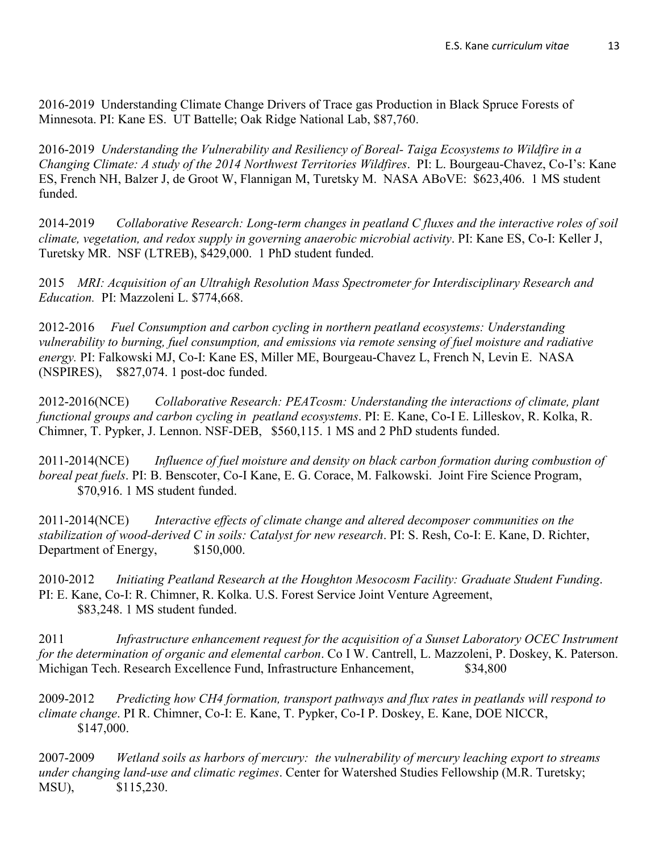2016-2019 Understanding Climate Change Drivers of Trace gas Production in Black Spruce Forests of Minnesota. PI: Kane ES. UT Battelle; Oak Ridge National Lab, \$87,760.

2016-2019 *Understanding the Vulnerability and Resiliency of Boreal- Taiga Ecosystems to Wildfire in a Changing Climate: A study of the 2014 Northwest Territories Wildfires*. PI: L. Bourgeau-Chavez, Co-I's: Kane ES, French NH, Balzer J, de Groot W, Flannigan M, Turetsky M. NASA ABoVE: \$623,406. 1 MS student funded.

2014-2019 *Collaborative Research: Long-term changes in peatland C fluxes and the interactive roles of soil climate, vegetation, and redox supply in governing anaerobic microbial activity*. PI: Kane ES, Co-I: Keller J, Turetsky MR. NSF (LTREB), \$429,000. 1 PhD student funded.

2015 *MRI: Acquisition of an Ultrahigh Resolution Mass Spectrometer for Interdisciplinary Research and Education.* PI: Mazzoleni L. \$774,668.

2012-2016 *Fuel Consumption and carbon cycling in northern peatland ecosystems: Understanding vulnerability to burning, fuel consumption, and emissions via remote sensing of fuel moisture and radiative energy.* PI: Falkowski MJ, Co-I: Kane ES, Miller ME, Bourgeau-Chavez L, French N, Levin E. NASA (NSPIRES), \$827,074. 1 post-doc funded.

2012-2016(NCE) *Collaborative Research: PEATcosm: Understanding the interactions of climate, plant functional groups and carbon cycling in peatland ecosystems*. PI: E. Kane, Co-I E. Lilleskov, R. Kolka, R. Chimner, T. Pypker, J. Lennon. NSF-DEB, \$560,115. 1 MS and 2 PhD students funded.

2011-2014(NCE) *Influence of fuel moisture and density on black carbon formation during combustion of boreal peat fuels*. PI: B. Benscoter, Co-I Kane, E. G. Corace, M. Falkowski. Joint Fire Science Program, \$70,916. 1 MS student funded.

2011-2014(NCE) *Interactive effects of climate change and altered decomposer communities on the stabilization of wood-derived C in soils: Catalyst for new research*. PI: S. Resh, Co-I: E. Kane, D. Richter, Department of Energy, \$150,000.

2010-2012 *Initiating Peatland Research at the Houghton Mesocosm Facility: Graduate Student Funding*. PI: E. Kane, Co-I: R. Chimner, R. Kolka. U.S. Forest Service Joint Venture Agreement, \$83,248. 1 MS student funded.

2011 *Infrastructure enhancement request for the acquisition of a Sunset Laboratory OCEC Instrument for the determination of organic and elemental carbon*. Co I W. Cantrell, L. Mazzoleni, P. Doskey, K. Paterson. Michigan Tech. Research Excellence Fund, Infrastructure Enhancement, \$34,800

2009-2012 *Predicting how CH4 formation, transport pathways and flux rates in peatlands will respond to climate change*. PI R. Chimner, Co-I: E. Kane, T. Pypker, Co-I P. Doskey, E. Kane, DOE NICCR, \$147,000.

2007-2009 *Wetland soils as harbors of mercury: the vulnerability of mercury leaching export to streams under changing land-use and climatic regimes*. Center for Watershed Studies Fellowship (M.R. Turetsky; MSU), \$115,230.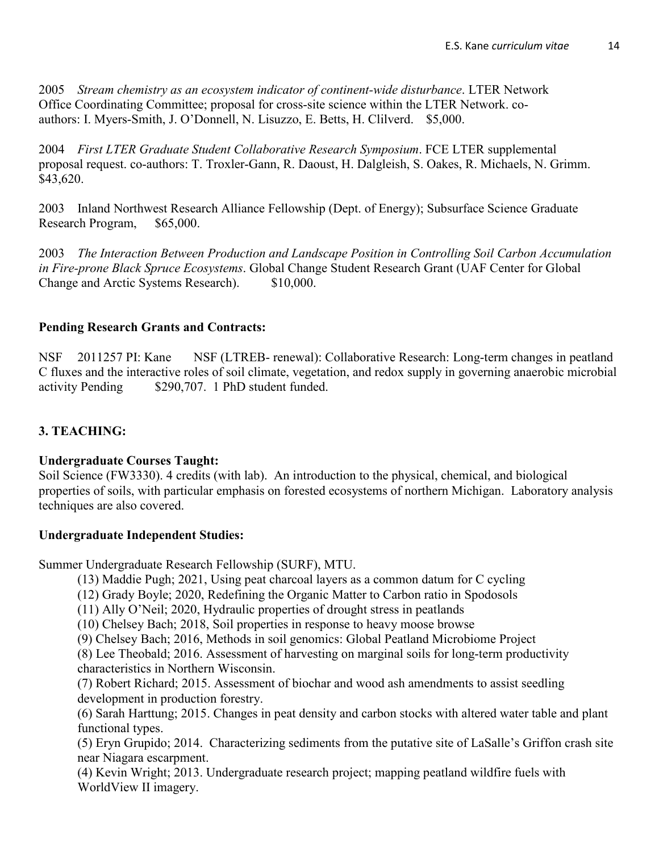2005 *Stream chemistry as an ecosystem indicator of continent-wide disturbance*. LTER Network Office Coordinating Committee; proposal for cross-site science within the LTER Network. coauthors: I. Myers-Smith, J. O'Donnell, N. Lisuzzo, E. Betts, H. Clilverd. \$5,000.

2004 *First LTER Graduate Student Collaborative Research Symposium*. FCE LTER supplemental proposal request. co-authors: T. Troxler-Gann, R. Daoust, H. Dalgleish, S. Oakes, R. Michaels, N. Grimm. \$43,620.

2003 Inland Northwest Research Alliance Fellowship (Dept. of Energy); Subsurface Science Graduate Research Program, \$65,000.

2003 *The Interaction Between Production and Landscape Position in Controlling Soil Carbon Accumulation in Fire-prone Black Spruce Ecosystems*. Global Change Student Research Grant (UAF Center for Global Change and Arctic Systems Research). \$10,000.

#### **Pending Research Grants and Contracts:**

NSF 2011257 PI: Kane NSF (LTREB- renewal): Collaborative Research: Long-term changes in peatland C fluxes and the interactive roles of soil climate, vegetation, and redox supply in governing anaerobic microbial activity Pending \$290,707. 1 PhD student funded.

## **3. TEACHING:**

#### **Undergraduate Courses Taught:**

Soil Science (FW3330). 4 credits (with lab). An introduction to the physical, chemical, and biological properties of soils, with particular emphasis on forested ecosystems of northern Michigan. Laboratory analysis techniques are also covered.

#### **Undergraduate Independent Studies:**

Summer Undergraduate Research Fellowship (SURF), MTU.

- (13) Maddie Pugh; 2021, Using peat charcoal layers as a common datum for C cycling
- (12) Grady Boyle; 2020, Redefining the Organic Matter to Carbon ratio in Spodosols
- (11) Ally O'Neil; 2020, Hydraulic properties of drought stress in peatlands
- (10) Chelsey Bach; 2018, Soil properties in response to heavy moose browse
- (9) Chelsey Bach; 2016, Methods in soil genomics: Global Peatland Microbiome Project

(8) Lee Theobald; 2016. Assessment of harvesting on marginal soils for long-term productivity characteristics in Northern Wisconsin.

(7) Robert Richard; 2015. Assessment of biochar and wood ash amendments to assist seedling development in production forestry.

(6) Sarah Harttung; 2015. Changes in peat density and carbon stocks with altered water table and plant functional types.

(5) Eryn Grupido; 2014. Characterizing sediments from the putative site of LaSalle's Griffon crash site near Niagara escarpment.

(4) Kevin Wright; 2013. Undergraduate research project; mapping peatland wildfire fuels with WorldView II imagery.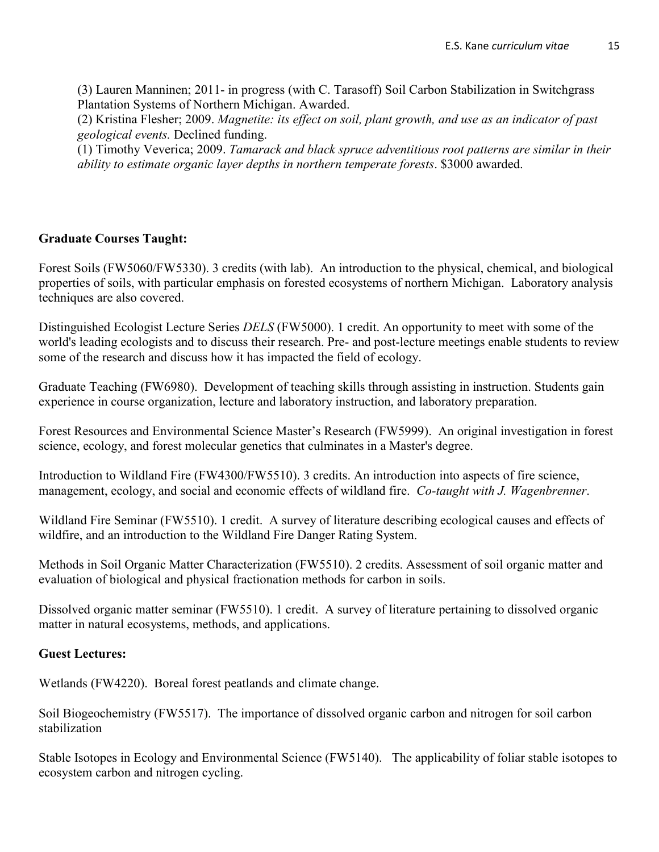(3) Lauren Manninen; 2011- in progress (with C. Tarasoff) Soil Carbon Stabilization in Switchgrass Plantation Systems of Northern Michigan. Awarded.

(2) Kristina Flesher; 2009. *Magnetite: its effect on soil, plant growth, and use as an indicator of past geological events.* Declined funding.

(1) Timothy Veverica; 2009. *Tamarack and black spruce adventitious root patterns are similar in their ability to estimate organic layer depths in northern temperate forests*. \$3000 awarded.

## **Graduate Courses Taught:**

Forest Soils (FW5060/FW5330). 3 credits (with lab). An introduction to the physical, chemical, and biological properties of soils, with particular emphasis on forested ecosystems of northern Michigan. Laboratory analysis techniques are also covered.

Distinguished Ecologist Lecture Series *DELS* (FW5000). 1 credit. An opportunity to meet with some of the world's leading ecologists and to discuss their research. Pre- and post-lecture meetings enable students to review some of the research and discuss how it has impacted the field of ecology.

Graduate Teaching (FW6980). Development of teaching skills through assisting in instruction. Students gain experience in course organization, lecture and laboratory instruction, and laboratory preparation.

Forest Resources and Environmental Science Master's Research (FW5999). An original investigation in forest science, ecology, and forest molecular genetics that culminates in a Master's degree.

Introduction to Wildland Fire (FW4300/FW5510). 3 credits. An introduction into aspects of fire science, management, ecology, and social and economic effects of wildland fire. *Co-taught with J. Wagenbrenner*.

Wildland Fire Seminar (FW5510). 1 credit. A survey of literature describing ecological causes and effects of wildfire, and an introduction to the Wildland Fire Danger Rating System.

Methods in Soil Organic Matter Characterization (FW5510). 2 credits. Assessment of soil organic matter and evaluation of biological and physical fractionation methods for carbon in soils.

Dissolved organic matter seminar (FW5510). 1 credit. A survey of literature pertaining to dissolved organic matter in natural ecosystems, methods, and applications.

## **Guest Lectures:**

Wetlands (FW4220). Boreal forest peatlands and climate change.

Soil Biogeochemistry (FW5517). The importance of dissolved organic carbon and nitrogen for soil carbon stabilization

Stable Isotopes in Ecology and Environmental Science (FW5140). The applicability of foliar stable isotopes to ecosystem carbon and nitrogen cycling.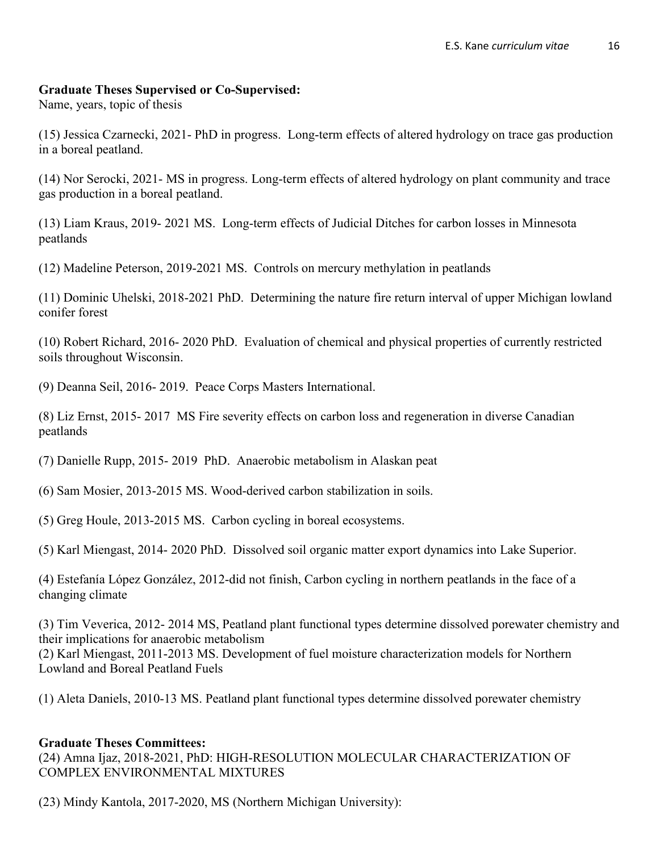#### **Graduate Theses Supervised or Co-Supervised:**

Name, years, topic of thesis

(15) Jessica Czarnecki, 2021- PhD in progress. Long-term effects of altered hydrology on trace gas production in a boreal peatland.

(14) Nor Serocki, 2021- MS in progress. Long-term effects of altered hydrology on plant community and trace gas production in a boreal peatland.

(13) Liam Kraus, 2019- 2021 MS. Long-term effects of Judicial Ditches for carbon losses in Minnesota peatlands

(12) Madeline Peterson, 2019-2021 MS. Controls on mercury methylation in peatlands

(11) Dominic Uhelski, 2018-2021 PhD. Determining the nature fire return interval of upper Michigan lowland conifer forest

(10) Robert Richard, 2016- 2020 PhD. Evaluation of chemical and physical properties of currently restricted soils throughout Wisconsin.

(9) Deanna Seil, 2016- 2019. Peace Corps Masters International.

(8) Liz Ernst, 2015- 2017 MS Fire severity effects on carbon loss and regeneration in diverse Canadian peatlands

(7) Danielle Rupp, 2015- 2019 PhD. Anaerobic metabolism in Alaskan peat

(6) Sam Mosier, 2013-2015 MS. Wood-derived carbon stabilization in soils.

(5) Greg Houle, 2013-2015 MS. Carbon cycling in boreal ecosystems.

(5) Karl Miengast, 2014- 2020 PhD. Dissolved soil organic matter export dynamics into Lake Superior.

(4) Estefanía López González, 2012-did not finish, Carbon cycling in northern peatlands in the face of a changing climate

(3) Tim Veverica, 2012- 2014 MS, Peatland plant functional types determine dissolved porewater chemistry and their implications for anaerobic metabolism (2) Karl Miengast, 2011-2013 MS. Development of fuel moisture characterization models for Northern Lowland and Boreal Peatland Fuels

(1) Aleta Daniels, 2010-13 MS. Peatland plant functional types determine dissolved porewater chemistry

#### **Graduate Theses Committees:**

(24) Amna Ijaz, 2018-2021, PhD: HIGH-RESOLUTION MOLECULAR CHARACTERIZATION OF COMPLEX ENVIRONMENTAL MIXTURES

(23) Mindy Kantola, 2017-2020, MS (Northern Michigan University):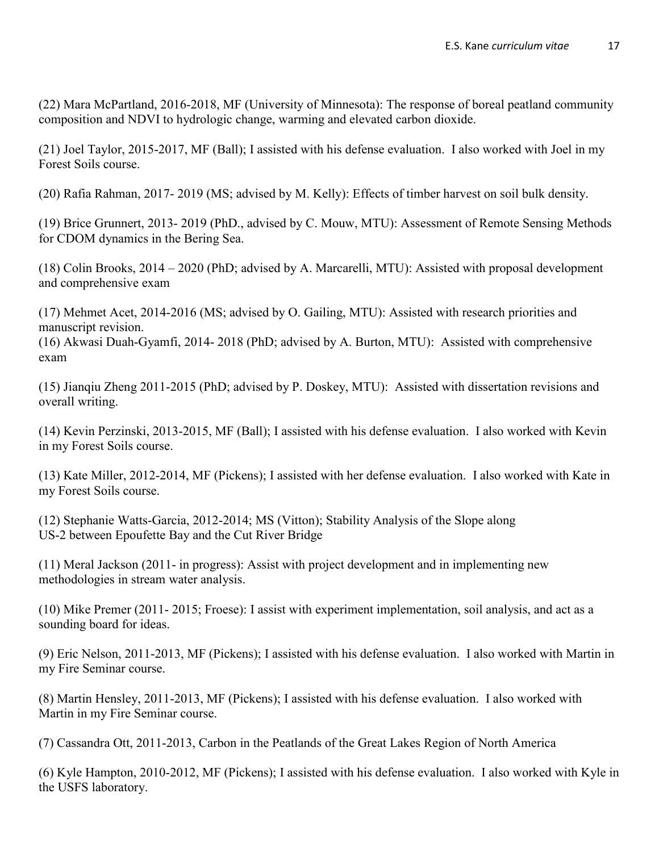(22) Mara McPartland, 2016-2018, MF (University of Minnesota): The response of boreal peatland community composition and NDVI to hydrologic change, warming and elevated carbon dioxide.

(21) Joel Taylor, 2015-2017, MF (Ball); I assisted with his defense evaluation. I also worked with Joel in my Forest Soils course.

(20) Rafia Rahman, 2017- 2019 (MS; advised by M. Kelly): Effects of timber harvest on soil bulk density.

(19) Brice Grunnert, 2013- 2019 (PhD., advised by C. Mouw, MTU): Assessment of Remote Sensing Methods for CDOM dynamics in the Bering Sea.

(18) Colin Brooks, 2014 – 2020 (PhD; advised by A. Marcarelli, MTU): Assisted with proposal development and comprehensive exam

(17) Mehmet Acet, 2014-2016 (MS; advised by O. Gailing, MTU): Assisted with research priorities and manuscript revision.

(16) Akwasi Duah-Gyamfi, 2014- 2018 (PhD; advised by A. Burton, MTU): Assisted with comprehensive exam

(15) Jianqiu Zheng 2011-2015 (PhD; advised by P. Doskey, MTU): Assisted with dissertation revisions and overall writing.

(14) Kevin Perzinski, 2013-2015, MF (Ball); I assisted with his defense evaluation. I also worked with Kevin in my Forest Soils course.

(13) Kate Miller, 2012-2014, MF (Pickens); I assisted with her defense evaluation. I also worked with Kate in my Forest Soils course.

(12) Stephanie Watts-Garcia, 2012-2014; MS (Vitton); Stability Analysis of the Slope along US-2 between Epoufette Bay and the Cut River Bridge

(11) Meral Jackson (2011- in progress): Assist with project development and in implementing new methodologies in stream water analysis.

(10) Mike Premer (2011- 2015; Froese): I assist with experiment implementation, soil analysis, and act as a sounding board for ideas.

(9) Eric Nelson, 2011-2013, MF (Pickens); I assisted with his defense evaluation. I also worked with Martin in my Fire Seminar course.

(8) Martin Hensley, 2011-2013, MF (Pickens); I assisted with his defense evaluation. I also worked with Martin in my Fire Seminar course.

(7) Cassandra Ott, 2011-2013, Carbon in the Peatlands of the Great Lakes Region of North America

(6) Kyle Hampton, 2010-2012, MF (Pickens); I assisted with his defense evaluation. I also worked with Kyle in the USFS laboratory.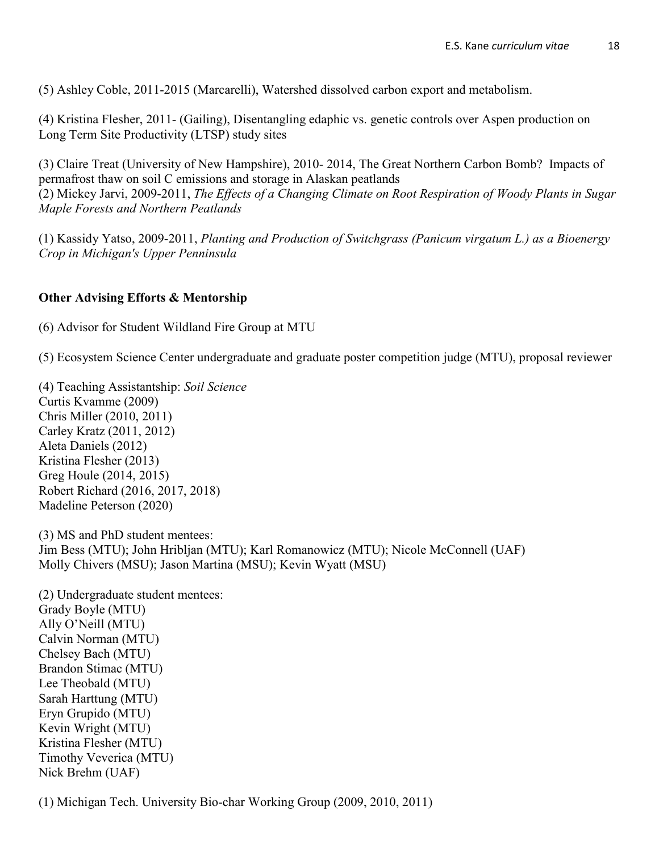(5) Ashley Coble, 2011-2015 (Marcarelli), Watershed dissolved carbon export and metabolism.

(4) Kristina Flesher, 2011- (Gailing), Disentangling edaphic vs. genetic controls over Aspen production on Long Term Site Productivity (LTSP) study sites

(3) Claire Treat (University of New Hampshire), 2010- 2014, The Great Northern Carbon Bomb? Impacts of permafrost thaw on soil C emissions and storage in Alaskan peatlands (2) Mickey Jarvi, 2009-2011, *The Effects of a Changing Climate on Root Respiration of Woody Plants in Sugar Maple Forests and Northern Peatlands*

(1) Kassidy Yatso, 2009-2011, *Planting and Production of Switchgrass (Panicum virgatum L.) as a Bioenergy Crop in Michigan's Upper Penninsula*

#### **Other Advising Efforts & Mentorship**

(6) Advisor for Student Wildland Fire Group at MTU

(5) Ecosystem Science Center undergraduate and graduate poster competition judge (MTU), proposal reviewer

(4) Teaching Assistantship: *Soil Science* Curtis Kvamme (2009) Chris Miller (2010, 2011) Carley Kratz (2011, 2012) Aleta Daniels (2012) Kristina Flesher (2013) Greg Houle (2014, 2015) Robert Richard (2016, 2017, 2018) Madeline Peterson (2020)

(3) MS and PhD student mentees: Jim Bess (MTU); John Hribljan (MTU); Karl Romanowicz (MTU); Nicole McConnell (UAF) Molly Chivers (MSU); Jason Martina (MSU); Kevin Wyatt (MSU)

(2) Undergraduate student mentees: Grady Boyle (MTU) Ally O'Neill (MTU) Calvin Norman (MTU) Chelsey Bach (MTU) Brandon Stimac (MTU) Lee Theobald (MTU) Sarah Harttung (MTU) Eryn Grupido (MTU) Kevin Wright (MTU) Kristina Flesher (MTU) Timothy Veverica (MTU) Nick Brehm (UAF)

(1) Michigan Tech. University Bio-char Working Group (2009, 2010, 2011)